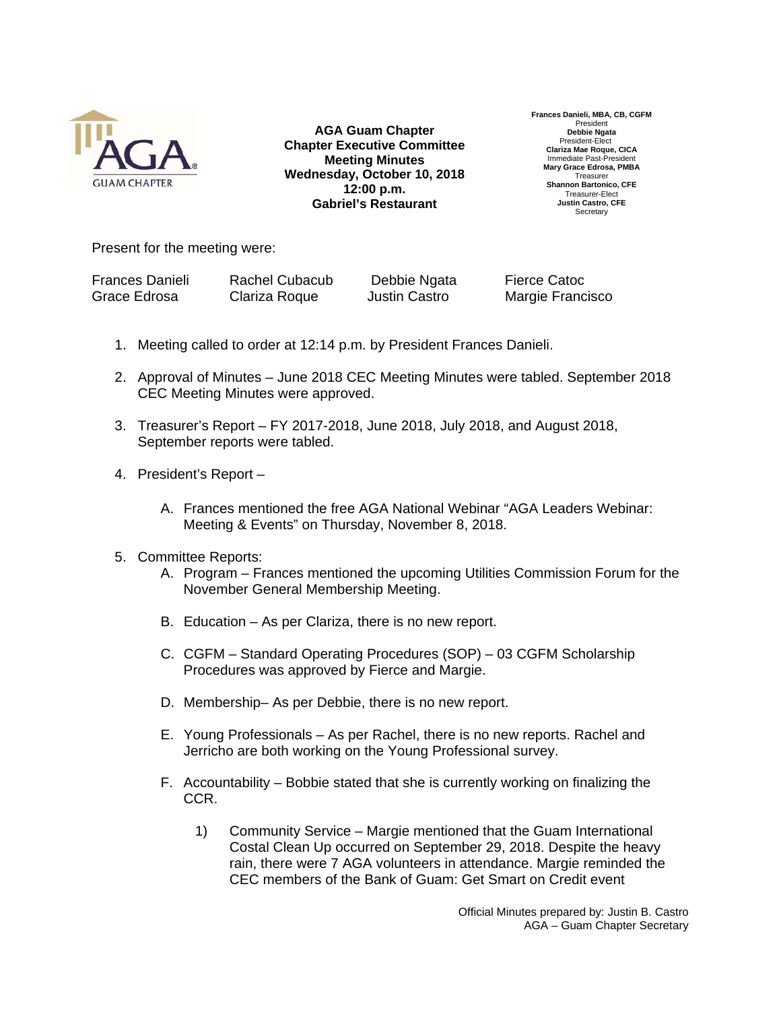

**AGA Guam Chapter Chapter Executive Committee Meeting Minutes Wednesday, October 10, 2018 12:00 p.m. Gabriel's Restaurant**

**Frances Danieli, MBA, CB, CGFM**  Presiden **Debbie Ngata**  President-Elect **Clariza Mae Roque, CICA**  Immediate Past-President **Mary Grace Edrosa, PMBA Treasurer Shannon Bartonico, CFE**  Treasurer-Elect **Justin Castro, CFE Secretary** 

Present for the meeting were:

| <b>Frances Danieli</b> | <b>Rachel Cubacub</b> | Debbie Ngata  | <b>Fierce Catoc</b> |
|------------------------|-----------------------|---------------|---------------------|
| Grace Edrosa           | Clariza Roque         | Justin Castro | Margie Francisco    |

- 1. Meeting called to order at 12:14 p.m. by President Frances Danieli.
- 2. Approval of Minutes June 2018 CEC Meeting Minutes were tabled. September 2018 CEC Meeting Minutes were approved.
- 3. Treasurer's Report FY 2017-2018, June 2018, July 2018, and August 2018, September reports were tabled.
- 4. President's Report
	- A. Frances mentioned the free AGA National Webinar "AGA Leaders Webinar: Meeting & Events" on Thursday, November 8, 2018.
- 5. Committee Reports:
	- A. Program Frances mentioned the upcoming Utilities Commission Forum for the November General Membership Meeting.
	- B. Education As per Clariza, there is no new report.
	- C. CGFM Standard Operating Procedures (SOP) 03 CGFM Scholarship Procedures was approved by Fierce and Margie.
	- D. Membership– As per Debbie, there is no new report.
	- E. Young Professionals As per Rachel, there is no new reports. Rachel and Jerricho are both working on the Young Professional survey.
	- F. Accountability Bobbie stated that she is currently working on finalizing the CCR.
		- 1) Community Service Margie mentioned that the Guam International Costal Clean Up occurred on September 29, 2018. Despite the heavy rain, there were 7 AGA volunteers in attendance. Margie reminded the CEC members of the Bank of Guam: Get Smart on Credit event